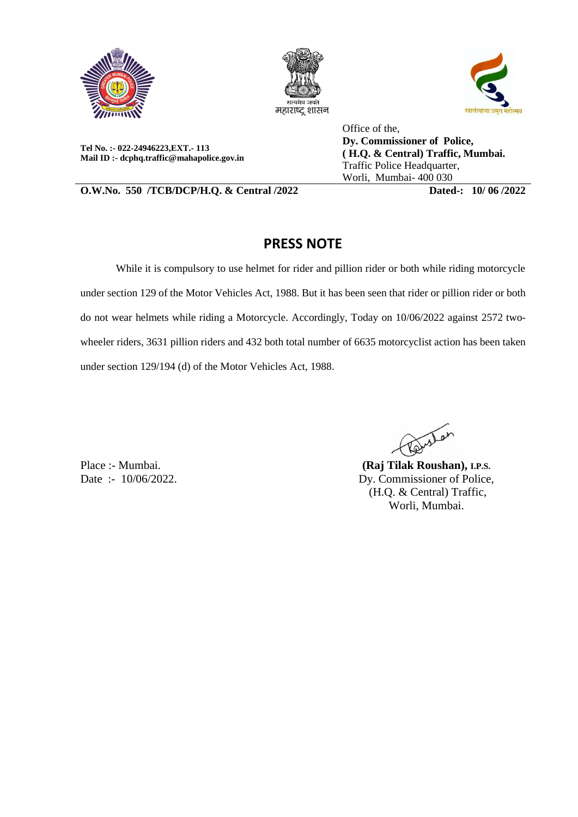





**Tel No. :- 022-24946223,EXT.- 113 Mail ID :- dcphq.traffic@mahapolice.gov.in**

Office of the, **Dy. Commissioner of Police, ( H.Q. & Central) Traffic, Mumbai.**  Traffic Police Headquarter, Worli, Mumbai- 400 030

**O.W.No. 550 /TCB/DCP/H.Q. & Central /2022 Dated-: 10/ 06 /2022**

## **PRESS NOTE**

While it is compulsory to use helmet for rider and pillion rider or both while riding motorcycle under section 129 of the Motor Vehicles Act, 1988. But it has been seen that rider or pillion rider or both do not wear helmets while riding a Motorcycle. Accordingly, Today on 10/06/2022 against 2572 twowheeler riders, 3631 pillion riders and 432 both total number of 6635 motorcyclist action has been taken under section 129/194 (d) of the Motor Vehicles Act, 1988.

Place :- Mumbai. Date :- 10/06/2022.

Renestan

**(Raj Tilak Roushan), I.P.S.** Dy. Commissioner of Police, (H.Q. & Central) Traffic, Worli, Mumbai.